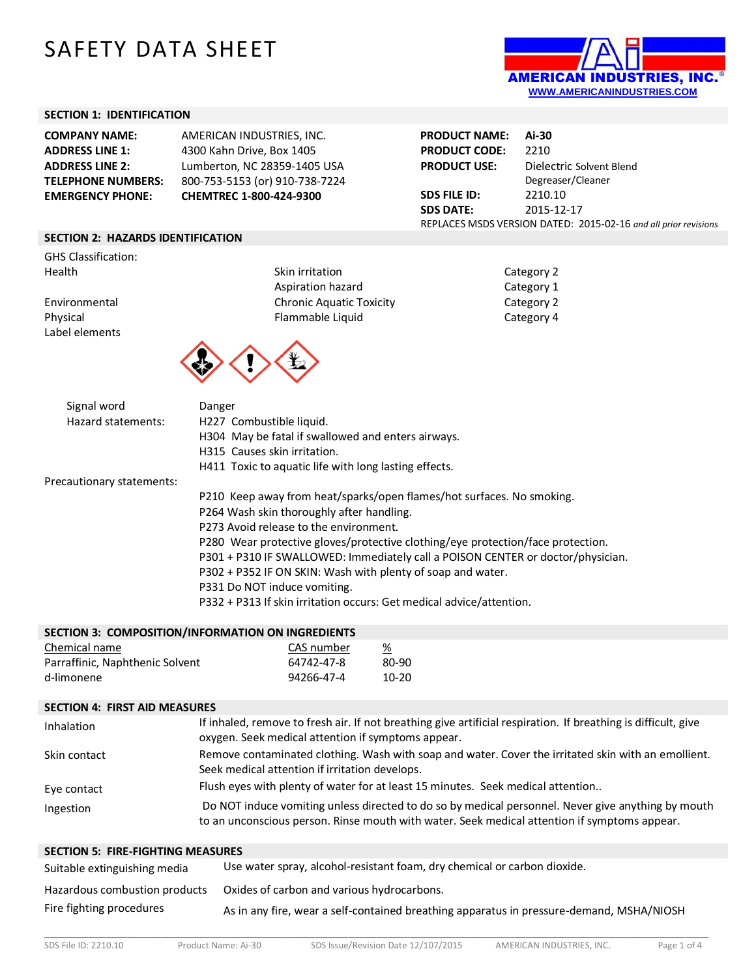# SAFETY DATA SHEET



#### **SECTION 1: IDENTIFICATION**

| <b>COMPANY NAME:</b>      | AMERICAN INDUSTRIES, INC.      |
|---------------------------|--------------------------------|
| <b>ADDRESS LINE 1:</b>    | 4300 Kahn Drive, Box 1405      |
| <b>ADDRESS LINE 2:</b>    | Lumberton, NC 28359-1405 USA   |
| <b>TELEPHONE NUMBERS:</b> | 800-753-5153 (or) 910-738-7224 |
| <b>EMERGENCY PHONE:</b>   | CHEMTREC 1-800-424-9300        |

| <b>PRODUCT NAME:</b> | Ai-30                                                           |
|----------------------|-----------------------------------------------------------------|
| <b>PRODUCT CODE:</b> | 2210                                                            |
| <b>PRODUCT USE:</b>  | Dielectric Solvent Blend                                        |
|                      | Degreaser/Cleaner                                               |
| SDS FILE ID:         | 2210.10                                                         |
| <b>SDS DATE:</b>     | 2015-12-17                                                      |
|                      | REPLACES MSDS VERSION DATED: 2015-02-16 and all prior revisions |

#### **SECTION 2: HAZARDS IDENTIFICATION**

GHS Classification:<br>Health

Label elements

Health Skin irritation Category 2 Skin irritation Category 2 Aspiration hazard **Category 1** Environmental Chronic Aquatic Toxicity Category 2 Physical **Flammable Liquid** Flammable Liquid Category 4



| Signal word               | Danger                                                                          |
|---------------------------|---------------------------------------------------------------------------------|
| Hazard statements:        | H227 Combustible liquid.                                                        |
|                           | H304 May be fatal if swallowed and enters airways.                              |
|                           | H315 Causes skin irritation.                                                    |
|                           | H411 Toxic to aquatic life with long lasting effects.                           |
| Precautionary statements: |                                                                                 |
|                           | P210 Keep away from heat/sparks/open flames/hot surfaces. No smoking.           |
|                           | P264 Wash skin thoroughly after handling.                                       |
|                           | P273 Avoid release to the environment.                                          |
|                           | P280 Wear protective gloves/protective clothing/eye protection/face protection. |
|                           | P301 + P310 IF SWALLOWED: Immediately call a POISON CENTER or doctor/physician. |
|                           | P302 + P352 IF ON SKIN: Wash with plenty of soap and water.                     |
|                           | P331 Do NOT induce vomiting.                                                    |
|                           | P332 + P313 If skin irritation occurs: Get medical advice/attention.            |
|                           |                                                                                 |

| SECTION 3: COMPOSITION/INFORMATION ON INGREDIENTS |            |                 |
|---------------------------------------------------|------------|-----------------|
| Chemical name                                     | CAS number | $\frac{\%}{\ }$ |
| Parraffinic, Naphthenic Solvent                   | 64742-47-8 | 80-90           |
| d-limonene                                        | 94266-47-4 | $10 - 20$       |
|                                                   |            |                 |

#### **SECTION 4: FIRST AID MEASURES**

| Inhalation   | If inhaled, remove to fresh air. If not breathing give artificial respiration. If breathing is difficult, give                                                                                     |  |
|--------------|----------------------------------------------------------------------------------------------------------------------------------------------------------------------------------------------------|--|
|              | oxygen. Seek medical attention if symptoms appear.                                                                                                                                                 |  |
| Skin contact | Remove contaminated clothing. Wash with soap and water. Cover the irritated skin with an emollient.<br>Seek medical attention if irritation develops.                                              |  |
| Eye contact  | Flush eyes with plenty of water for at least 15 minutes. Seek medical attention                                                                                                                    |  |
| Ingestion    | Do NOT induce vomiting unless directed to do so by medical personnel. Never give anything by mouth<br>to an unconscious person. Rinse mouth with water. Seek medical attention if symptoms appear. |  |

# **SECTION 5: FIRE-FIGHTING MEASURES**

| Suitable extinguishing media  | Use water spray, alcohol-resistant foam, dry chemical or carbon dioxide.                 |
|-------------------------------|------------------------------------------------------------------------------------------|
| Hazardous combustion products | Oxides of carbon and various hydrocarbons.                                               |
| Fire fighting procedures      | As in any fire, wear a self-contained breathing apparatus in pressure-demand, MSHA/NIOSH |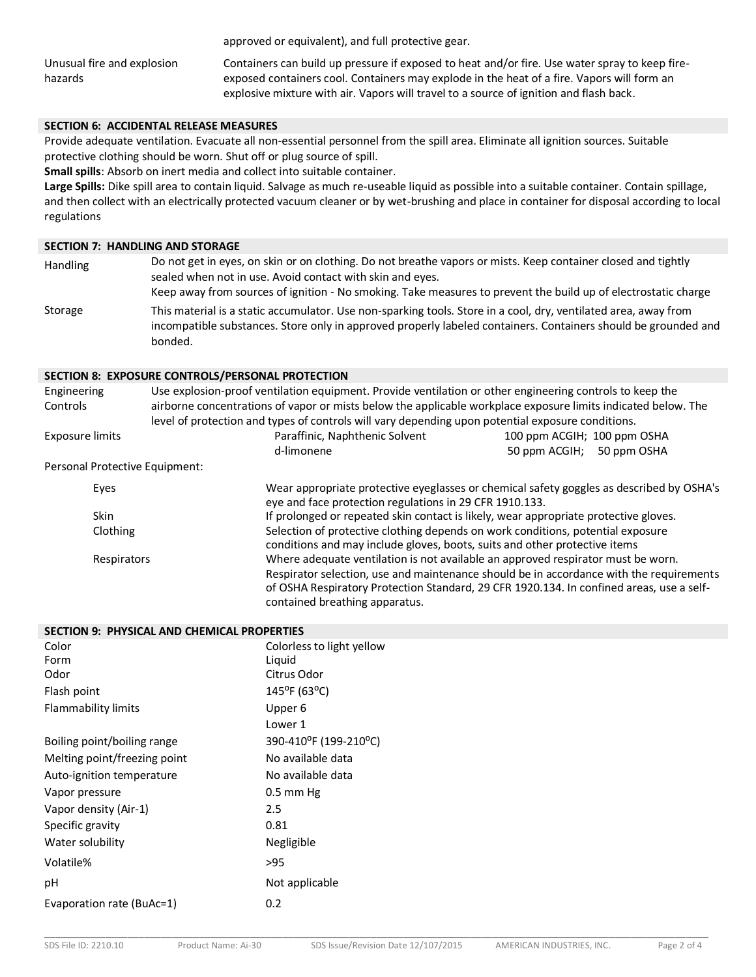approved or equivalent), and full protective gear.

Unusual fire and explosion hazards

Containers can build up pressure if exposed to heat and/or fire. Use water spray to keep fireexposed containers cool. Containers may explode in the heat of a fire. Vapors will form an explosive mixture with air. Vapors will travel to a source of ignition and flash back.

# **SECTION 6: ACCIDENTAL RELEASE MEASURES**

Provide adequate ventilation. Evacuate all non-essential personnel from the spill area. Eliminate all ignition sources. Suitable protective clothing should be worn. Shut off or plug source of spill.

**Small spills**: Absorb on inert media and collect into suitable container.

**Large Spills:** Dike spill area to contain liquid. Salvage as much re-useable liquid as possible into a suitable container. Contain spillage, and then collect with an electrically protected vacuum cleaner or by wet-brushing and place in container for disposal according to local regulations

#### **SECTION 7: HANDLING AND STORAGE**

Handling Do not get in eyes, on skin or on clothing. Do not breathe vapors or mists. Keep container closed and tightly sealed when not in use. Avoid contact with skin and eyes. Keep away from sources of ignition - No smoking. Take measures to prevent the build up of electrostatic charge Storage This material is a static accumulator. Use non-sparking tools. Store in a cool, dry, ventilated area, away from incompatible substances. Store only in approved properly labeled containers. Containers should be grounded and bonded.

#### **SECTION 8: EXPOSURE CONTROLS/PERSONAL PROTECTION**

| Engineering<br>Controls        | Use explosion-proof ventilation equipment. Provide ventilation or other engineering controls to keep the<br>airborne concentrations of vapor or mists below the applicable workplace exposure limits indicated below. The<br>level of protection and types of controls will vary depending upon potential exposure conditions. |                                                                                                                                                                                                                                                                         |
|--------------------------------|--------------------------------------------------------------------------------------------------------------------------------------------------------------------------------------------------------------------------------------------------------------------------------------------------------------------------------|-------------------------------------------------------------------------------------------------------------------------------------------------------------------------------------------------------------------------------------------------------------------------|
| Exposure limits                | Paraffinic, Naphthenic Solvent                                                                                                                                                                                                                                                                                                 | 100 ppm ACGIH; 100 ppm OSHA                                                                                                                                                                                                                                             |
|                                | d-limonene                                                                                                                                                                                                                                                                                                                     | 50 ppm ACGIH; 50 ppm OSHA                                                                                                                                                                                                                                               |
| Personal Protective Equipment: |                                                                                                                                                                                                                                                                                                                                |                                                                                                                                                                                                                                                                         |
| Eyes                           | eye and face protection regulations in 29 CFR 1910.133.                                                                                                                                                                                                                                                                        | Wear appropriate protective eyeglasses or chemical safety goggles as described by OSHA's                                                                                                                                                                                |
| <b>Skin</b>                    |                                                                                                                                                                                                                                                                                                                                | If prolonged or repeated skin contact is likely, wear appropriate protective gloves.                                                                                                                                                                                    |
| Clothing                       |                                                                                                                                                                                                                                                                                                                                | Selection of protective clothing depends on work conditions, potential exposure<br>conditions and may include gloves, boots, suits and other protective items                                                                                                           |
| Respirators                    | contained breathing apparatus.                                                                                                                                                                                                                                                                                                 | Where adequate ventilation is not available an approved respirator must be worn.<br>Respirator selection, use and maintenance should be in accordance with the requirements<br>of OSHA Respiratory Protection Standard, 29 CFR 1920.134. In confined areas, use a self- |

| SECTION 9: PHYSICAL AND CHEMICAL PROPERTIES |                           |
|---------------------------------------------|---------------------------|
| Color                                       | Colorless to light yellow |
| Form                                        | Liguid                    |
| Odor                                        | Citrus Odor               |
| Flash point                                 | $145^{\circ}$ F (63°C)    |
| Flammability limits                         | Upper 6                   |
|                                             | Lower 1                   |
| Boiling point/boiling range                 | 390-410°F (199-210°C)     |
| Melting point/freezing point                | No available data         |
| Auto-ignition temperature                   | No available data         |
| Vapor pressure                              | $0.5$ mm Hg               |
| Vapor density (Air-1)                       | 2.5                       |
| Specific gravity                            | 0.81                      |
| Water solubility                            | Negligible                |

Volatile% >95

Evaporation rate (BuAc=1) 0.2

pH Not applicable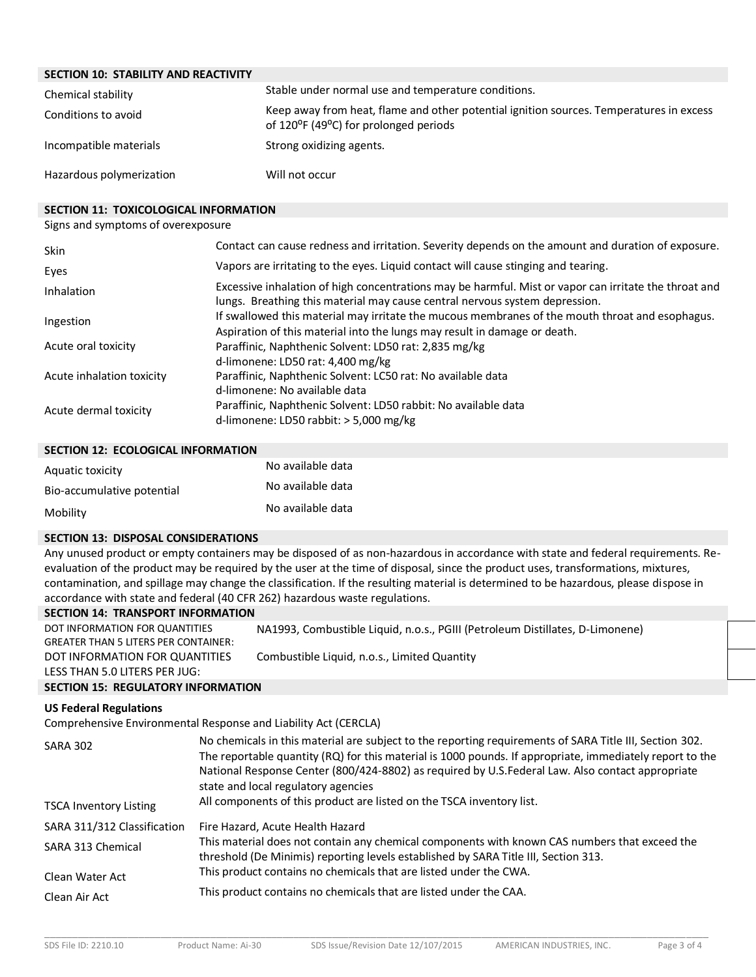# **SECTION 10: STABILITY AND REACTIVITY**

| Chemical stability       | Stable under normal use and temperature conditions.                                                                              |
|--------------------------|----------------------------------------------------------------------------------------------------------------------------------|
| Conditions to avoid      | Keep away from heat, flame and other potential ignition sources. Temperatures in excess<br>of 120°F (49°C) for prolonged periods |
| Incompatible materials   | Strong oxidizing agents.                                                                                                         |
| Hazardous polymerization | Will not occur                                                                                                                   |

### **SECTION 11: TOXICOLOGICAL INFORMATION**

### Signs and symptoms of overexposure

| <b>Skin</b>               | Contact can cause redness and irritation. Severity depends on the amount and duration of exposure.                                                                                   |
|---------------------------|--------------------------------------------------------------------------------------------------------------------------------------------------------------------------------------|
| Eyes                      | Vapors are irritating to the eyes. Liquid contact will cause stinging and tearing.                                                                                                   |
| Inhalation                | Excessive inhalation of high concentrations may be harmful. Mist or vapor can irritate the throat and<br>lungs. Breathing this material may cause central nervous system depression. |
| Ingestion                 | If swallowed this material may irritate the mucous membranes of the mouth throat and esophagus.<br>Aspiration of this material into the lungs may result in damage or death.         |
| Acute oral toxicity       | Paraffinic, Naphthenic Solvent: LD50 rat: 2,835 mg/kg<br>d-limonene: LD50 rat: 4,400 mg/kg                                                                                           |
| Acute inhalation toxicity | Paraffinic, Naphthenic Solvent: LC50 rat: No available data<br>d-limonene: No available data                                                                                         |
| Acute dermal toxicity     | Paraffinic, Naphthenic Solvent: LD50 rabbit: No available data<br>d-limonene: LD50 rabbit: $>$ 5,000 mg/kg                                                                           |

#### **SECTION 12: ECOLOGICAL INFORMATION**

| Aquatic toxicity           | No available data |
|----------------------------|-------------------|
| Bio-accumulative potential | No available data |
| Mobility                   | No available data |

#### **SECTION 13: DISPOSAL CONSIDERATIONS**

Any unused product or empty containers may be disposed of as non-hazardous in accordance with state and federal requirements. Reevaluation of the product may be required by the user at the time of disposal, since the product uses, transformations, mixtures, contamination, and spillage may change the classification. If the resulting material is determined to be hazardous, please dispose in accordance with state and federal (40 CFR 262) hazardous waste regulations.

# **SECTION 14: TRANSPORT INFORMATION**

| DOT INFORMATION FOR QUANTITIES<br><b>GREATER THAN 5 LITERS PER CONTAINER:</b> | NA1993, Combustible Liquid, n.o.s., PGIII (Petroleum Distillates, D-Limonene) |
|-------------------------------------------------------------------------------|-------------------------------------------------------------------------------|
| DOT INFORMATION FOR QUANTITIES<br>LESS THAN 5.0 LITERS PER JUG:               | Combustible Liquid, n.o.s., Limited Quantity                                  |

# **SECTION 15: REGULATORY INFORMATION**

# **US Federal Regulations**

Comprehensive Environmental Response and Liability Act (CERCLA)

| <b>SARA 302</b><br><b>TSCA Inventory Listing</b> | No chemicals in this material are subject to the reporting requirements of SARA Title III, Section 302.<br>The reportable quantity (RQ) for this material is 1000 pounds. If appropriate, immediately report to the<br>National Response Center (800/424-8802) as required by U.S.Federal Law. Also contact appropriate<br>state and local regulatory agencies<br>All components of this product are listed on the TSCA inventory list. |
|--------------------------------------------------|-----------------------------------------------------------------------------------------------------------------------------------------------------------------------------------------------------------------------------------------------------------------------------------------------------------------------------------------------------------------------------------------------------------------------------------------|
|                                                  |                                                                                                                                                                                                                                                                                                                                                                                                                                         |
| SARA 311/312 Classification                      | Fire Hazard, Acute Health Hazard                                                                                                                                                                                                                                                                                                                                                                                                        |
| SARA 313 Chemical                                | This material does not contain any chemical components with known CAS numbers that exceed the<br>threshold (De Minimis) reporting levels established by SARA Title III, Section 313.                                                                                                                                                                                                                                                    |
| Clean Water Act                                  | This product contains no chemicals that are listed under the CWA.                                                                                                                                                                                                                                                                                                                                                                       |
| Clean Air Act                                    | This product contains no chemicals that are listed under the CAA.                                                                                                                                                                                                                                                                                                                                                                       |
|                                                  |                                                                                                                                                                                                                                                                                                                                                                                                                                         |